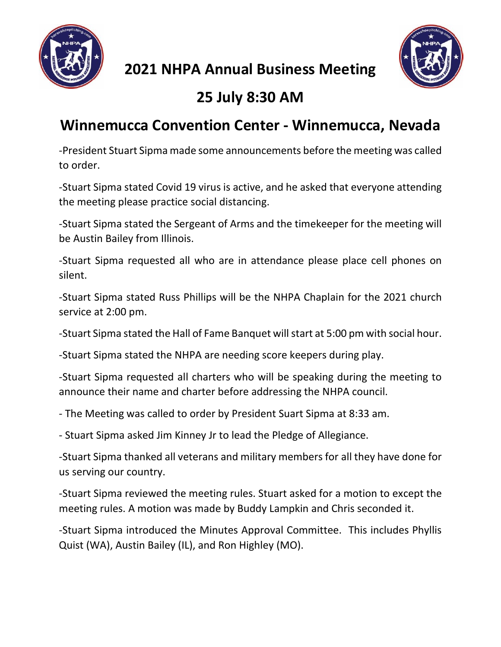

**2021 NHPA Annual Business Meeting**



## **25 July 8:30 AM**

## **Winnemucca Convention Center - Winnemucca, Nevada**

-President Stuart Sipma made some announcements before the meeting was called to order.

-Stuart Sipma stated Covid 19 virus is active, and he asked that everyone attending the meeting please practice social distancing.

-Stuart Sipma stated the Sergeant of Arms and the timekeeper for the meeting will be Austin Bailey from Illinois.

-Stuart Sipma requested all who are in attendance please place cell phones on silent.

-Stuart Sipma stated Russ Phillips will be the NHPA Chaplain for the 2021 church service at 2:00 pm.

-Stuart Sipma stated the Hall of Fame Banquet will start at 5:00 pm with social hour.

-Stuart Sipma stated the NHPA are needing score keepers during play.

-Stuart Sipma requested all charters who will be speaking during the meeting to announce their name and charter before addressing the NHPA council.

- The Meeting was called to order by President Suart Sipma at 8:33 am.

- Stuart Sipma asked Jim Kinney Jr to lead the Pledge of Allegiance.

-Stuart Sipma thanked all veterans and military members for all they have done for us serving our country.

-Stuart Sipma reviewed the meeting rules. Stuart asked for a motion to except the meeting rules. A motion was made by Buddy Lampkin and Chris seconded it.

-Stuart Sipma introduced the Minutes Approval Committee. This includes Phyllis Quist (WA), Austin Bailey (IL), and Ron Highley (MO).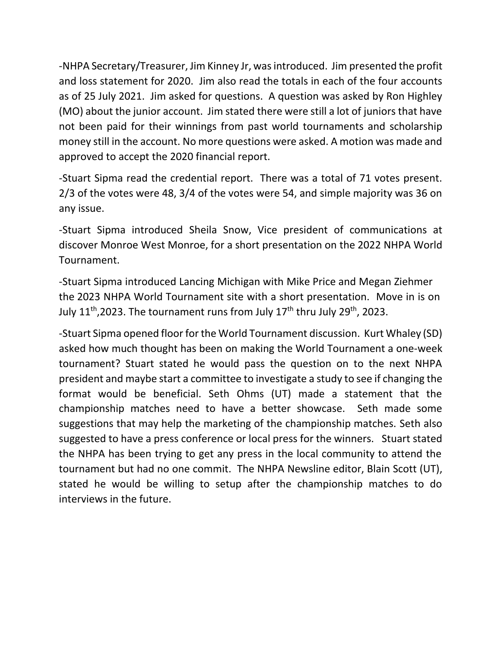-NHPA Secretary/Treasurer, Jim Kinney Jr, was introduced. Jim presented the profit and loss statement for 2020. Jim also read the totals in each of the four accounts as of 25 July 2021. Jim asked for questions. A question was asked by Ron Highley (MO) about the junior account. Jim stated there were still a lot of juniors that have not been paid for their winnings from past world tournaments and scholarship money still in the account. No more questions were asked. A motion was made and approved to accept the 2020 financial report.

-Stuart Sipma read the credential report. There was a total of 71 votes present. 2/3 of the votes were 48, 3/4 of the votes were 54, and simple majority was 36 on any issue.

-Stuart Sipma introduced Sheila Snow, Vice president of communications at discover Monroe West Monroe, for a short presentation on the 2022 NHPA World Tournament.

-Stuart Sipma introduced Lancing Michigan with Mike Price and Megan Ziehmer the 2023 NHPA World Tournament site with a short presentation. Move in is on July 11<sup>th</sup>,2023. The tournament runs from July 17<sup>th</sup> thru July 29<sup>th</sup>, 2023.

-Stuart Sipma opened floor for the World Tournament discussion. Kurt Whaley (SD) asked how much thought has been on making the World Tournament a one-week tournament? Stuart stated he would pass the question on to the next NHPA president and maybe start a committee to investigate a study to see if changing the format would be beneficial. Seth Ohms (UT) made a statement that the championship matches need to have a better showcase. Seth made some suggestions that may help the marketing of the championship matches. Seth also suggested to have a press conference or local press for the winners. Stuart stated the NHPA has been trying to get any press in the local community to attend the tournament but had no one commit. The NHPA Newsline editor, Blain Scott (UT), stated he would be willing to setup after the championship matches to do interviews in the future.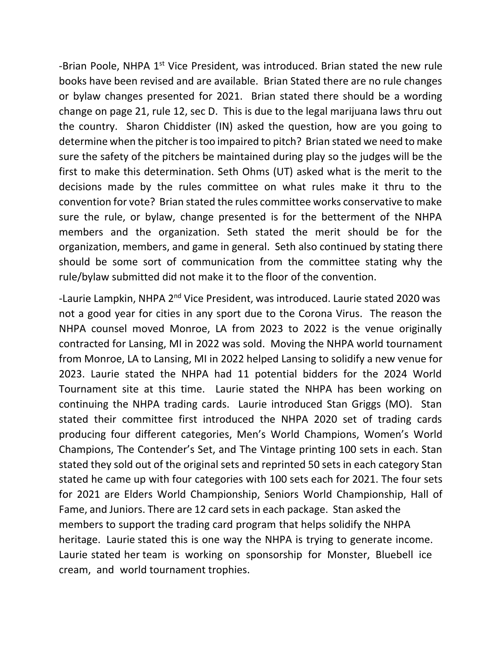-Brian Poole, NHPA 1<sup>st</sup> Vice President, was introduced. Brian stated the new rule books have been revised and are available. Brian Stated there are no rule changes or bylaw changes presented for 2021. Brian stated there should be a wording change on page 21, rule 12, sec D. This is due to the legal marijuana laws thru out the country. Sharon Chiddister (IN) asked the question, how are you going to determine when the pitcher is too impaired to pitch? Brian stated we need to make sure the safety of the pitchers be maintained during play so the judges will be the first to make this determination. Seth Ohms (UT) asked what is the merit to the decisions made by the rules committee on what rules make it thru to the convention for vote? Brian stated the rules committee works conservative to make sure the rule, or bylaw, change presented is for the betterment of the NHPA members and the organization. Seth stated the merit should be for the organization, members, and game in general. Seth also continued by stating there should be some sort of communication from the committee stating why the rule/bylaw submitted did not make it to the floor of the convention.

-Laurie Lampkin, NHPA 2<sup>nd</sup> Vice President, was introduced. Laurie stated 2020 was not a good year for cities in any sport due to the Corona Virus. The reason the NHPA counsel moved Monroe, LA from 2023 to 2022 is the venue originally contracted for Lansing, MI in 2022 was sold. Moving the NHPA world tournament from Monroe, LA to Lansing, MI in 2022 helped Lansing to solidify a new venue for 2023. Laurie stated the NHPA had 11 potential bidders for the 2024 World Tournament site at this time. Laurie stated the NHPA has been working on continuing the NHPA trading cards. Laurie introduced Stan Griggs (MO). Stan stated their committee first introduced the NHPA 2020 set of trading cards producing four different categories, Men's World Champions, Women's World Champions, The Contender's Set, and The Vintage printing 100 sets in each. Stan stated they sold out of the original sets and reprinted 50 sets in each category Stan stated he came up with four categories with 100 sets each for 2021. The four sets for 2021 are Elders World Championship, Seniors World Championship, Hall of Fame, and Juniors. There are 12 card sets in each package. Stan asked the members to support the trading card program that helps solidify the NHPA heritage. Laurie stated this is one way the NHPA is trying to generate income. Laurie stated her team is working on sponsorship for Monster, Bluebell ice cream, and world tournament trophies.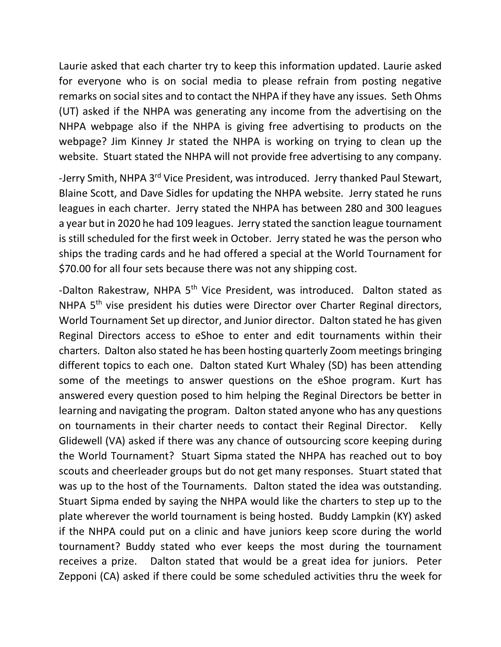Laurie asked that each charter try to keep this information updated. Laurie asked for everyone who is on social media to please refrain from posting negative remarks on social sites and to contact the NHPA if they have any issues. Seth Ohms (UT) asked if the NHPA was generating any income from the advertising on the NHPA webpage also if the NHPA is giving free advertising to products on the webpage? Jim Kinney Jr stated the NHPA is working on trying to clean up the website. Stuart stated the NHPA will not provide free advertising to any company.

-Jerry Smith, NHPA 3<sup>rd</sup> Vice President, was introduced. Jerry thanked Paul Stewart, Blaine Scott, and Dave Sidles for updating the NHPA website. Jerry stated he runs leagues in each charter. Jerry stated the NHPA has between 280 and 300 leagues a year but in 2020 he had 109 leagues. Jerry stated the sanction league tournament is still scheduled for the first week in October. Jerry stated he was the person who ships the trading cards and he had offered a special at the World Tournament for \$70.00 for all four sets because there was not any shipping cost.

-Dalton Rakestraw, NHPA 5<sup>th</sup> Vice President, was introduced. Dalton stated as NHPA 5<sup>th</sup> vise president his duties were Director over Charter Reginal directors, World Tournament Set up director, and Junior director. Dalton stated he has given Reginal Directors access to eShoe to enter and edit tournaments within their charters. Dalton also stated he has been hosting quarterly Zoom meetings bringing different topics to each one. Dalton stated Kurt Whaley (SD) has been attending some of the meetings to answer questions on the eShoe program. Kurt has answered every question posed to him helping the Reginal Directors be better in learning and navigating the program. Dalton stated anyone who has any questions on tournaments in their charter needs to contact their Reginal Director. Kelly Glidewell (VA) asked if there was any chance of outsourcing score keeping during the World Tournament? Stuart Sipma stated the NHPA has reached out to boy scouts and cheerleader groups but do not get many responses. Stuart stated that was up to the host of the Tournaments. Dalton stated the idea was outstanding. Stuart Sipma ended by saying the NHPA would like the charters to step up to the plate wherever the world tournament is being hosted. Buddy Lampkin (KY) asked if the NHPA could put on a clinic and have juniors keep score during the world tournament? Buddy stated who ever keeps the most during the tournament receives a prize. Dalton stated that would be a great idea for juniors. Peter Zepponi (CA) asked if there could be some scheduled activities thru the week for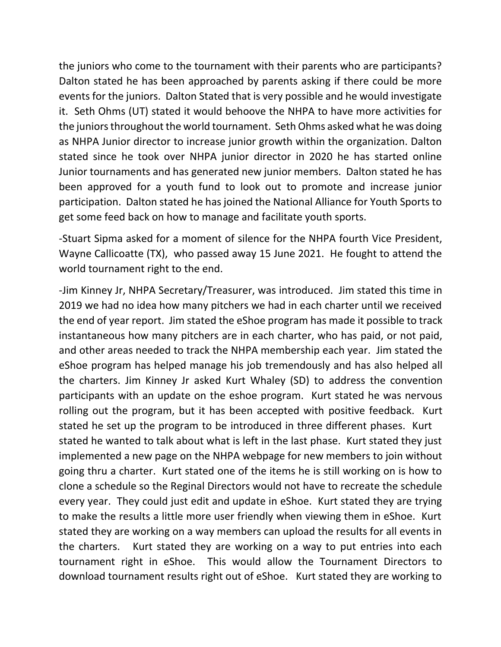the juniors who come to the tournament with their parents who are participants? Dalton stated he has been approached by parents asking if there could be more events for the juniors. Dalton Stated that is very possible and he would investigate it. Seth Ohms (UT) stated it would behoove the NHPA to have more activities for the juniors throughout the world tournament. Seth Ohms asked what he was doing as NHPA Junior director to increase junior growth within the organization. Dalton stated since he took over NHPA junior director in 2020 he has started online Junior tournaments and has generated new junior members. Dalton stated he has been approved for a youth fund to look out to promote and increase junior participation. Dalton stated he has joined the National Alliance for Youth Sports to get some feed back on how to manage and facilitate youth sports.

-Stuart Sipma asked for a moment of silence for the NHPA fourth Vice President, Wayne Callicoatte (TX), who passed away 15 June 2021. He fought to attend the world tournament right to the end.

-Jim Kinney Jr, NHPA Secretary/Treasurer, was introduced. Jim stated this time in 2019 we had no idea how many pitchers we had in each charter until we received the end of year report. Jim stated the eShoe program has made it possible to track instantaneous how many pitchers are in each charter, who has paid, or not paid, and other areas needed to track the NHPA membership each year. Jim stated the eShoe program has helped manage his job tremendously and has also helped all the charters. Jim Kinney Jr asked Kurt Whaley (SD) to address the convention participants with an update on the eshoe program. Kurt stated he was nervous rolling out the program, but it has been accepted with positive feedback. Kurt stated he set up the program to be introduced in three different phases. Kurt stated he wanted to talk about what is left in the last phase. Kurt stated they just implemented a new page on the NHPA webpage for new members to join without going thru a charter. Kurt stated one of the items he is still working on is how to clone a schedule so the Reginal Directors would not have to recreate the schedule every year. They could just edit and update in eShoe. Kurt stated they are trying to make the results a little more user friendly when viewing them in eShoe. Kurt stated they are working on a way members can upload the results for all events in the charters. Kurt stated they are working on a way to put entries into each tournament right in eShoe. This would allow the Tournament Directors to download tournament results right out of eShoe. Kurt stated they are working to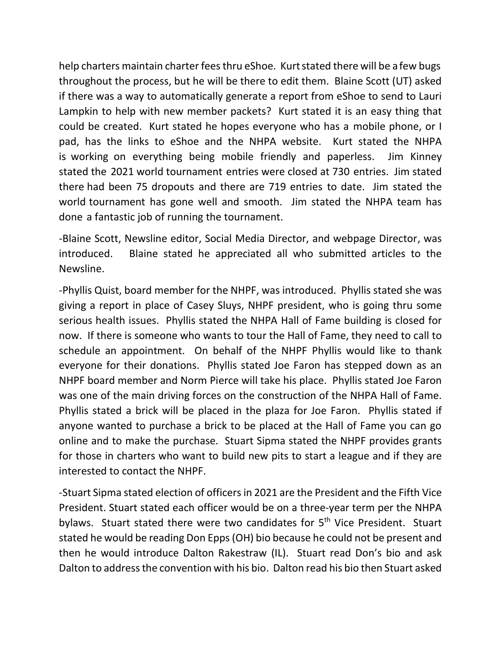help charters maintain charter fees thru eShoe. Kurtstated there will be a few bugs throughout the process, but he will be there to edit them. Blaine Scott (UT) asked if there was a way to automatically generate a report from eShoe to send to Lauri Lampkin to help with new member packets? Kurt stated it is an easy thing that could be created. Kurt stated he hopes everyone who has a mobile phone, or I pad, has the links to eShoe and the NHPA website. Kurt stated the NHPA is working on everything being mobile friendly and paperless. Jim Kinney stated the 2021 world tournament entries were closed at 730 entries. Jim stated there had been 75 dropouts and there are 719 entries to date. Jim stated the world tournament has gone well and smooth. Jim stated the NHPA team has done a fantastic job of running the tournament.

-Blaine Scott, Newsline editor, Social Media Director, and webpage Director, was introduced. Blaine stated he appreciated all who submitted articles to the Newsline.

-Phyllis Quist, board member for the NHPF, was introduced. Phyllis stated she was giving a report in place of Casey Sluys, NHPF president, who is going thru some serious health issues. Phyllis stated the NHPA Hall of Fame building is closed for now. If there is someone who wants to tour the Hall of Fame, they need to call to schedule an appointment. On behalf of the NHPF Phyllis would like to thank everyone for their donations. Phyllis stated Joe Faron has stepped down as an NHPF board member and Norm Pierce will take his place. Phyllis stated Joe Faron was one of the main driving forces on the construction of the NHPA Hall of Fame. Phyllis stated a brick will be placed in the plaza for Joe Faron. Phyllis stated if anyone wanted to purchase a brick to be placed at the Hall of Fame you can go online and to make the purchase. Stuart Sipma stated the NHPF provides grants for those in charters who want to build new pits to start a league and if they are interested to contact the NHPF.

-Stuart Sipma stated election of officers in 2021 are the President and the Fifth Vice President. Stuart stated each officer would be on a three-year term per the NHPA bylaws. Stuart stated there were two candidates for 5<sup>th</sup> Vice President. Stuart stated he would be reading Don Epps(OH) bio because he could not be present and then he would introduce Dalton Rakestraw (IL). Stuart read Don's bio and ask Dalton to address the convention with his bio. Dalton read his bio then Stuart asked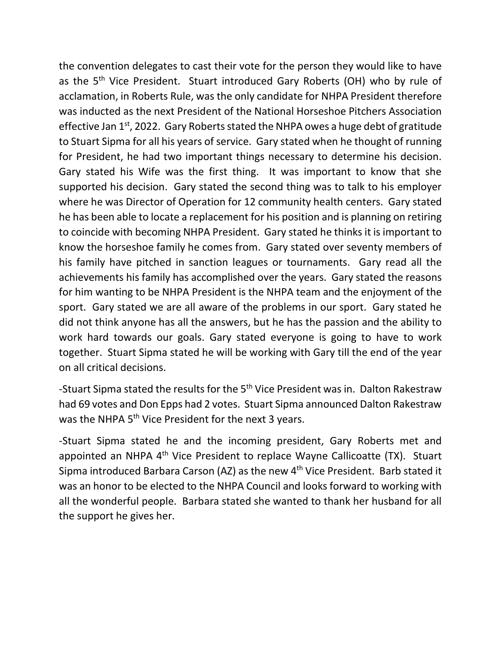the convention delegates to cast their vote for the person they would like to have as the 5<sup>th</sup> Vice President. Stuart introduced Gary Roberts (OH) who by rule of acclamation, in Roberts Rule, was the only candidate for NHPA President therefore was inducted as the next President of the National Horseshoe Pitchers Association effective Jan 1<sup>st</sup>, 2022. Gary Roberts stated the NHPA owes a huge debt of gratitude to Stuart Sipma for all his years of service. Gary stated when he thought of running for President, he had two important things necessary to determine his decision. Gary stated his Wife was the first thing. It was important to know that she supported his decision. Gary stated the second thing was to talk to his employer where he was Director of Operation for 12 community health centers. Gary stated he has been able to locate a replacement for his position and is planning on retiring to coincide with becoming NHPA President. Gary stated he thinks it is important to know the horseshoe family he comes from. Gary stated over seventy members of his family have pitched in sanction leagues or tournaments. Gary read all the achievements his family has accomplished over the years. Gary stated the reasons for him wanting to be NHPA President is the NHPA team and the enjoyment of the sport. Gary stated we are all aware of the problems in our sport. Gary stated he did not think anyone has all the answers, but he has the passion and the ability to work hard towards our goals. Gary stated everyone is going to have to work together. Stuart Sipma stated he will be working with Gary till the end of the year on all critical decisions.

-Stuart Sipma stated the results for the 5<sup>th</sup> Vice President was in. Dalton Rakestraw had 69 votes and Don Epps had 2 votes. Stuart Sipma announced Dalton Rakestraw was the NHPA 5<sup>th</sup> Vice President for the next 3 years.

-Stuart Sipma stated he and the incoming president, Gary Roberts met and appointed an NHPA 4<sup>th</sup> Vice President to replace Wayne Callicoatte (TX). Stuart Sipma introduced Barbara Carson (AZ) as the new 4th Vice President. Barb stated it was an honor to be elected to the NHPA Council and looks forward to working with all the wonderful people. Barbara stated she wanted to thank her husband for all the support he gives her.